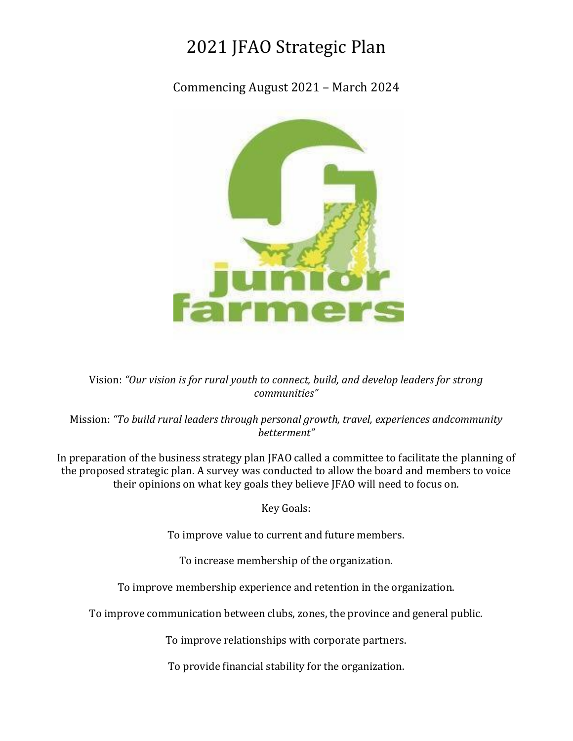# 2021 JFAO Strategic Plan

Commencing August 2021 – March 2024



Vision: *"Our vision is for rural youth to connect, build, and develop leaders for strong communities"*

Mission: *"To build rural leaders through personal growth, travel, experiences andcommunity betterment"*

In preparation of the business strategy plan JFAO called a committee to facilitate the planning of the proposed strategic plan. A survey was conducted to allow the board and members to voice their opinions on what key goals they believe JFAO will need to focus on.

Key Goals:

To improve value to current and future members.

To increase membership of the organization.

To improve membership experience and retention in the organization.

To improve communication between clubs, zones, the province and general public.

To improve relationships with corporate partners.

To provide financial stability for the organization.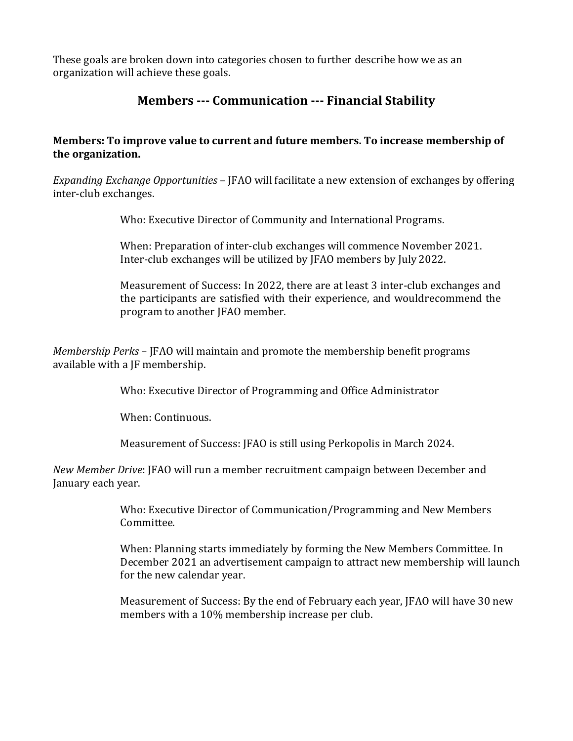These goals are broken down into categories chosen to further describe how we as an organization will achieve these goals.

# **Members --- Communication --- Financial Stability**

## **Members: To improve value to current and future members. To increase membership of the organization.**

*Expanding Exchange Opportunities* – JFAO will facilitate a new extension of exchanges by offering inter-club exchanges.

Who: Executive Director of Community and International Programs.

When: Preparation of inter-club exchanges will commence November 2021. Inter-club exchanges will be utilized by JFAO members by July 2022.

Measurement of Success: In 2022, there are at least 3 inter-club exchanges and the participants are satisfied with their experience, and wouldrecommend the program to another JFAO member.

*Membership Perks* – JFAO will maintain and promote the membership benefit programs available with a JF membership.

Who: Executive Director of Programming and Office Administrator

When: Continuous.

Measurement of Success: JFAO is still using Perkopolis in March 2024.

*New Member Drive*: JFAO will run a member recruitment campaign between December and January each year.

> Who: Executive Director of Communication/Programming and New Members Committee.

When: Planning starts immediately by forming the New Members Committee. In December 2021 an advertisement campaign to attract new membership will launch for the new calendar year.

Measurement of Success: By the end of February each year, JFAO will have 30 new members with a 10% membership increase per club.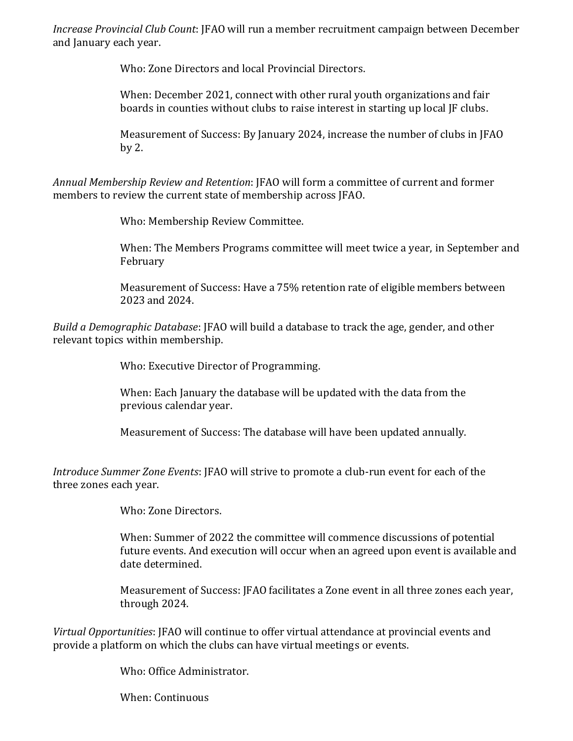*Increase Provincial Club Count*: JFAO will run a member recruitment campaign between December and January each year.

Who: Zone Directors and local Provincial Directors.

When: December 2021, connect with other rural youth organizations and fair boards in counties without clubs to raise interest in starting up local JF clubs.

Measurement of Success: By January 2024, increase the number of clubs in JFAO by 2.

*Annual Membership Review and Retention*: JFAO will form a committee of current and former members to review the current state of membership across JFAO.

Who: Membership Review Committee.

When: The Members Programs committee will meet twice a year, in September and February

Measurement of Success: Have a 75% retention rate of eligible members between 2023 and 2024.

*Build a Demographic Database*: JFAO will build a database to track the age, gender, and other relevant topics within membership.

Who: Executive Director of Programming.

When: Each January the database will be updated with the data from the previous calendar year.

Measurement of Success: The database will have been updated annually.

*Introduce Summer Zone Events*: JFAO will strive to promote a club-run event for each of the three zones each year.

Who: Zone Directors.

When: Summer of 2022 the committee will commence discussions of potential future events. And execution will occur when an agreed upon event is available and date determined.

Measurement of Success: JFAO facilitates a Zone event in all three zones each year, through 2024.

*Virtual Opportunities*: JFAO will continue to offer virtual attendance at provincial events and provide a platform on which the clubs can have virtual meetings or events.

Who: Office Administrator.

When: Continuous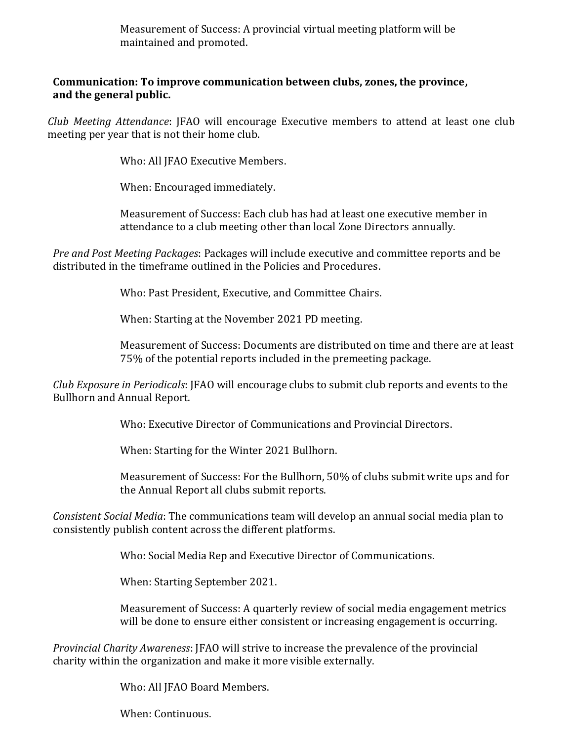Measurement of Success: A provincial virtual meeting platform will be maintained and promoted.

### **Communication: To improve communication between clubs, zones, the province, and the general public.**

*Club Meeting Attendance*: JFAO will encourage Executive members to attend at least one club meeting per year that is not their home club.

Who: All JFAO Executive Members.

When: Encouraged immediately.

Measurement of Success: Each club has had at least one executive member in attendance to a club meeting other than local Zone Directors annually.

*Pre and Post Meeting Packages*: Packages will include executive and committee reports and be distributed in the timeframe outlined in the Policies and Procedures.

Who: Past President, Executive, and Committee Chairs.

When: Starting at the November 2021 PD meeting.

Measurement of Success: Documents are distributed on time and there are at least 75% of the potential reports included in the premeeting package.

*Club Exposure in Periodicals*: JFAO will encourage clubs to submit club reports and events to the Bullhorn and Annual Report.

Who: Executive Director of Communications and Provincial Directors.

When: Starting for the Winter 2021 Bullhorn.

Measurement of Success: For the Bullhorn, 50% of clubs submit write ups and for the Annual Report all clubs submit reports.

*Consistent Social Media*: The communications team will develop an annual social media plan to consistently publish content across the different platforms.

Who: Social Media Rep and Executive Director of Communications.

When: Starting September 2021.

Measurement of Success: A quarterly review of social media engagement metrics will be done to ensure either consistent or increasing engagement is occurring.

*Provincial Charity Awareness*: JFAO will strive to increase the prevalence of the provincial charity within the organization and make it more visible externally.

Who: All JFAO Board Members.

When: Continuous.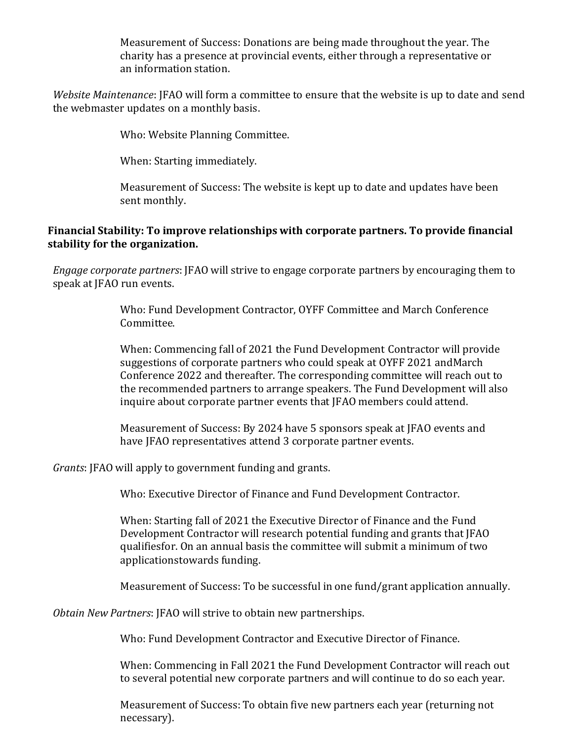Measurement of Success: Donations are being made throughout the year. The charity has a presence at provincial events, either through a representative or an information station.

*Website Maintenance*: JFAO will form a committee to ensure that the website is up to date and send the webmaster updates on a monthly basis.

Who: Website Planning Committee.

When: Starting immediately.

Measurement of Success: The website is kept up to date and updates have been sent monthly.

### **Financial Stability: To improve relationships with corporate partners. To provide financial stability for the organization.**

*Engage corporate partners*: JFAO will strive to engage corporate partners by encouraging them to speak at JFAO run events.

> Who: Fund Development Contractor, OYFF Committee and March Conference Committee.

When: Commencing fall of 2021 the Fund Development Contractor will provide suggestions of corporate partners who could speak at OYFF 2021 andMarch Conference 2022 and thereafter. The corresponding committee will reach out to the recommended partners to arrange speakers. The Fund Development will also inquire about corporate partner events that JFAO members could attend.

Measurement of Success: By 2024 have 5 sponsors speak at JFAO events and have JFAO representatives attend 3 corporate partner events.

*Grants*: JFAO will apply to government funding and grants.

Who: Executive Director of Finance and Fund Development Contractor.

When: Starting fall of 2021 the Executive Director of Finance and the Fund Development Contractor will research potential funding and grants that JFAO qualifiesfor. On an annual basis the committee will submit a minimum of two applicationstowards funding.

Measurement of Success: To be successful in one fund/grant application annually.

*Obtain New Partners*: JFAO will strive to obtain new partnerships.

Who: Fund Development Contractor and Executive Director of Finance.

When: Commencing in Fall 2021 the Fund Development Contractor will reach out to several potential new corporate partners and will continue to do so each year.

Measurement of Success: To obtain five new partners each year (returning not necessary).